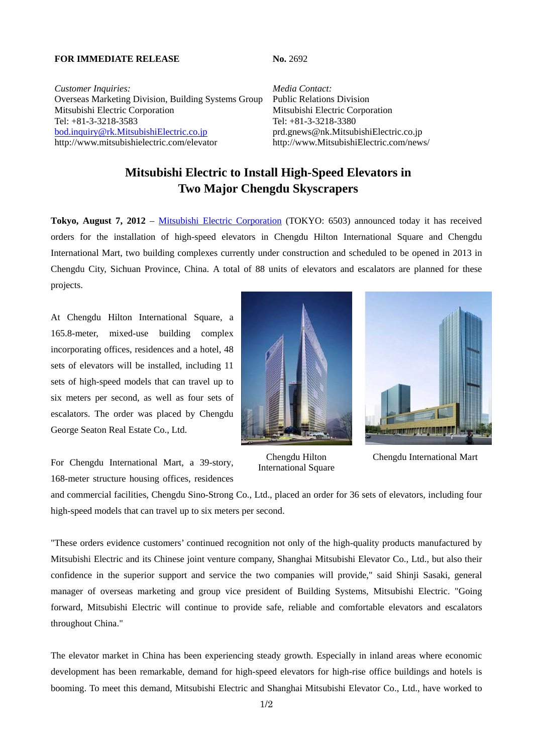## **FOR IMMEDIATE RELEASE No. 2692**

*Customer Inquiries: Media Contact:* Overseas Marketing Division, Building Systems Group Public Relations Division Mitsubishi Electric Corporation Mitsubishi Electric Corporation Tel: +81-3-3218-3583 Tel: +81-3-3218-3380 bod.inquiry@rk.MitsubishiElectric.co.jp prd.gnews@nk.MitsubishiElectric.co.jp http://www.mitsubishielectric.com/elevator http://www.MitsubishiElectric.com/news/

## **Mitsubishi Electric to Install High-Speed Elevators in Two Major Chengdu Skyscrapers**

**Tokyo, August 7, 2012** – Mitsubishi Electric Corporation (TOKYO: 6503) announced today it has received orders for the installation of high-speed elevators in Chengdu Hilton International Square and Chengdu International Mart, two building complexes currently under construction and scheduled to be opened in 2013 in Chengdu City, Sichuan Province, China. A total of 88 units of elevators and escalators are planned for these projects.

At Chengdu Hilton International Square, a 165.8-meter, mixed-use building complex incorporating offices, residences and a hotel, 48 sets of elevators will be installed, including 11 sets of high-speed models that can travel up to six meters per second, as well as four sets of escalators. The order was placed by Chengdu George Seaton Real Estate Co., Ltd.

For Chengdu International Mart, a 39-story, 168-meter structure housing offices, residences





Chengdu Hilton International Square

Chengdu International Mart

and commercial facilities, Chengdu Sino-Strong Co., Ltd., placed an order for 36 sets of elevators, including four high-speed models that can travel up to six meters per second.

"These orders evidence customers' continued recognition not only of the high-quality products manufactured by Mitsubishi Electric and its Chinese joint venture company, Shanghai Mitsubishi Elevator Co., Ltd., but also their confidence in the superior support and service the two companies will provide," said Shinji Sasaki, general manager of overseas marketing and group vice president of Building Systems, Mitsubishi Electric. "Going forward, Mitsubishi Electric will continue to provide safe, reliable and comfortable elevators and escalators throughout China."

The elevator market in China has been experiencing steady growth. Especially in inland areas where economic development has been remarkable, demand for high-speed elevators for high-rise office buildings and hotels is booming. To meet this demand, Mitsubishi Electric and Shanghai Mitsubishi Elevator Co., Ltd., have worked to